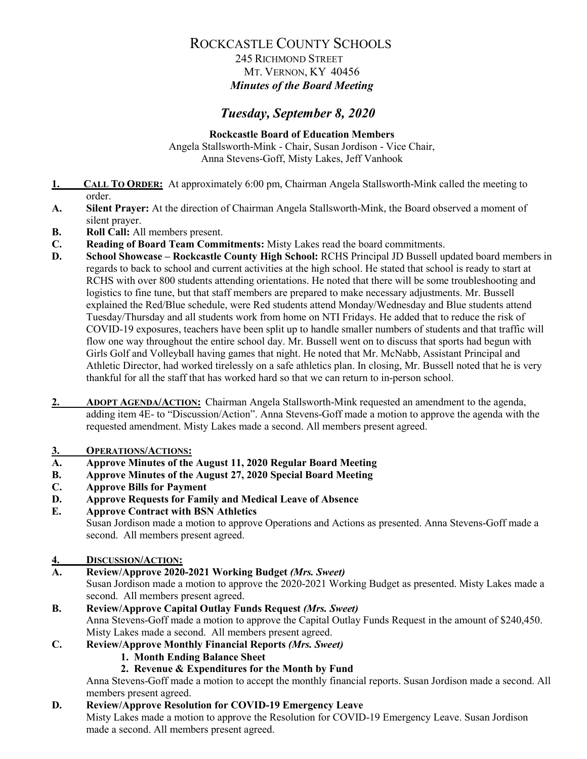### 245 RICHMOND STREET MT. VERNON, KY 40456 *Minutes of the Board Meeting*

## *Tuesday, September 8, 2020*

**Rockcastle Board of Education Members** Angela Stallsworth-Mink - Chair, Susan Jordison - Vice Chair, Anna Stevens-Goff, Misty Lakes, Jeff Vanhook

- **1. CALL TO ORDER:** At approximately 6:00 pm, Chairman Angela Stallsworth-Mink called the meeting to order.
- **A. Silent Prayer:** At the direction of Chairman Angela Stallsworth-Mink, the Board observed a moment of silent prayer.
- **B. Roll Call:** All members present.
- **C. Reading of Board Team Commitments:** Misty Lakes read the board commitments.
- **D. School Showcase – Rockcastle County High School:** RCHS Principal JD Bussell updated board members in regards to back to school and current activities at the high school. He stated that school is ready to start at RCHS with over 800 students attending orientations. He noted that there will be some troubleshooting and logistics to fine tune, but that staff members are prepared to make necessary adjustments. Mr. Bussell explained the Red/Blue schedule, were Red students attend Monday/Wednesday and Blue students attend Tuesday/Thursday and all students work from home on NTI Fridays. He added that to reduce the risk of COVID-19 exposures, teachers have been split up to handle smaller numbers of students and that traffic will flow one way throughout the entire school day. Mr. Bussell went on to discuss that sports had begun with Girls Golf and Volleyball having games that night. He noted that Mr. McNabb, Assistant Principal and Athletic Director, had worked tirelessly on a safe athletics plan. In closing, Mr. Bussell noted that he is very thankful for all the staff that has worked hard so that we can return to in-person school.
- 2. **ADOPT AGENDA/ACTION:** Chairman Angela Stallsworth-Mink requested an amendment to the agenda, adding item 4E- to "Discussion/Action". Anna Stevens-Goff made a motion to approve the agenda with the requested amendment. Misty Lakes made a second. All members present agreed.

### **3. OPERATIONS/ACTIONS:**

- **A. Approve Minutes of the August 11, 2020 Regular Board Meeting**
- **B. Approve Minutes of the August 27, 2020 Special Board Meeting**
- **C. Approve Bills for Payment**
- **D. Approve Requests for Family and Medical Leave of Absence**
- **E. Approve Contract with BSN Athletics**

Susan Jordison made a motion to approve Operations and Actions as presented. Anna Stevens-Goff made a second. All members present agreed.

### **4. DISCUSSION/ACTION:**

**A. Review/Approve 2020-2021 Working Budget** *(Mrs. Sweet)*

Susan Jordison made a motion to approve the 2020-2021 Working Budget as presented. Misty Lakes made a second. All members present agreed.

# **B. Review/Approve Capital Outlay Funds Request** *(Mrs. Sweet)*

Anna Stevens-Goff made a motion to approve the Capital Outlay Funds Request in the amount of \$240,450. Misty Lakes made a second. All members present agreed.

### **C. Review/Approve Monthly Financial Reports** *(Mrs. Sweet)*

### **1. Month Ending Balance Sheet**

### **2. Revenue & Expenditures for the Month by Fund**

Anna Stevens-Goff made a motion to accept the monthly financial reports. Susan Jordison made a second. All members present agreed.

### **D. Review/Approve Resolution for COVID-19 Emergency Leave**

Misty Lakes made a motion to approve the Resolution for COVID-19 Emergency Leave. Susan Jordison made a second. All members present agreed.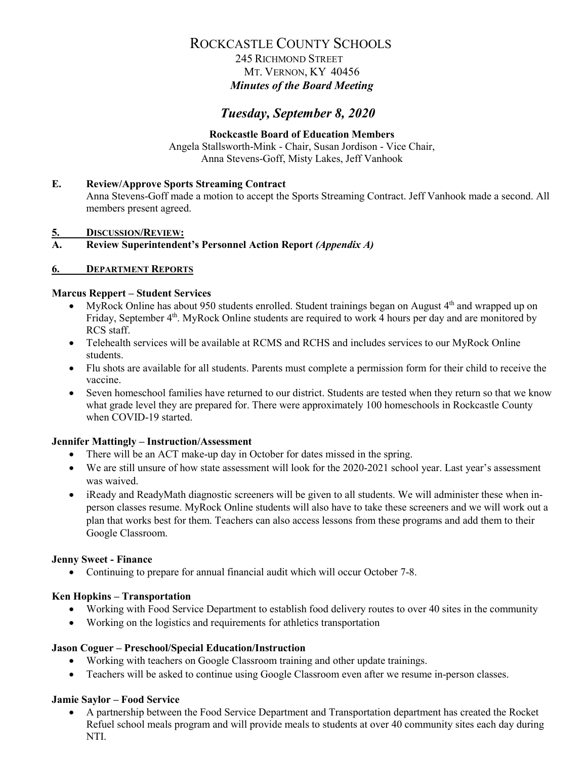### 245 RICHMOND STREET MT. VERNON, KY 40456 *Minutes of the Board Meeting*

## *Tuesday, September 8, 2020*

#### **Rockcastle Board of Education Members** Angela Stallsworth-Mink - Chair, Susan Jordison - Vice Chair, Anna Stevens-Goff, Misty Lakes, Jeff Vanhook

### **E. Review/Approve Sports Streaming Contract**

Anna Stevens-Goff made a motion to accept the Sports Streaming Contract. Jeff Vanhook made a second. All members present agreed.

**5. DISCUSSION/REVIEW:**

### **A. Review Superintendent's Personnel Action Report** *(Appendix A)*

#### **6. DEPARTMENT REPORTS**

#### **Marcus Reppert – Student Services**

- MyRock Online has about 950 students enrolled. Student trainings began on August  $4<sup>th</sup>$  and wrapped up on Friday, September 4<sup>th</sup>. MyRock Online students are required to work 4 hours per day and are monitored by RCS staff.
- Telehealth services will be available at RCMS and RCHS and includes services to our MyRock Online students.
- Flu shots are available for all students. Parents must complete a permission form for their child to receive the vaccine.
- Seven homeschool families have returned to our district. Students are tested when they return so that we know what grade level they are prepared for. There were approximately 100 homeschools in Rockcastle County when COVID-19 started.

#### **Jennifer Mattingly – Instruction/Assessment**

- There will be an ACT make-up day in October for dates missed in the spring.
- We are still unsure of how state assessment will look for the 2020-2021 school year. Last year's assessment was waived.
- iReady and ReadyMath diagnostic screeners will be given to all students. We will administer these when inperson classes resume. MyRock Online students will also have to take these screeners and we will work out a plan that works best for them. Teachers can also access lessons from these programs and add them to their Google Classroom.

#### **Jenny Sweet - Finance**

• Continuing to prepare for annual financial audit which will occur October 7-8.

#### **Ken Hopkins – Transportation**

- Working with Food Service Department to establish food delivery routes to over 40 sites in the community
- Working on the logistics and requirements for athletics transportation

#### **Jason Coguer – Preschool/Special Education/Instruction**

- Working with teachers on Google Classroom training and other update trainings.
- Teachers will be asked to continue using Google Classroom even after we resume in-person classes.

### **Jamie Saylor – Food Service**

• A partnership between the Food Service Department and Transportation department has created the Rocket Refuel school meals program and will provide meals to students at over 40 community sites each day during NTI.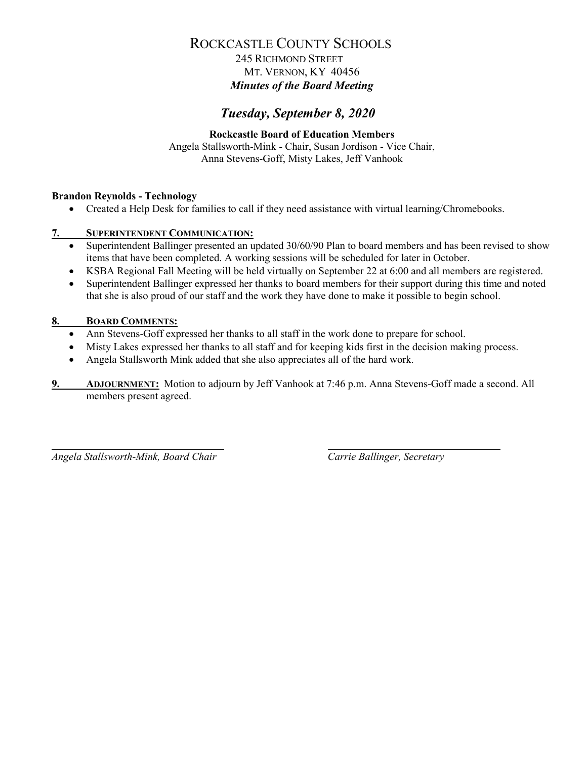### 245 RICHMOND STREET MT. VERNON, KY 40456 *Minutes of the Board Meeting*

## *Tuesday, September 8, 2020*

#### **Rockcastle Board of Education Members** Angela Stallsworth-Mink - Chair, Susan Jordison - Vice Chair, Anna Stevens-Goff, Misty Lakes, Jeff Vanhook

#### **Brandon Reynolds - Technology**

• Created a Help Desk for families to call if they need assistance with virtual learning/Chromebooks.

#### **7. SUPERINTENDENT COMMUNICATION:**

- Superintendent Ballinger presented an updated 30/60/90 Plan to board members and has been revised to show items that have been completed. A working sessions will be scheduled for later in October.
- KSBA Regional Fall Meeting will be held virtually on September 22 at 6:00 and all members are registered.
- Superintendent Ballinger expressed her thanks to board members for their support during this time and noted that she is also proud of our staff and the work they have done to make it possible to begin school.

#### **8. BOARD COMMENTS:**

- Ann Stevens-Goff expressed her thanks to all staff in the work done to prepare for school.
- Misty Lakes expressed her thanks to all staff and for keeping kids first in the decision making process.
- Angela Stallsworth Mink added that she also appreciates all of the hard work.
- **9. ADJOURNMENT:** Motion to adjourn by Jeff Vanhook at 7:46 p.m. Anna Stevens-Goff made a second. All members present agreed.

*Angela Stallsworth-Mink, Board Chair Carrie Ballinger, Secretary*